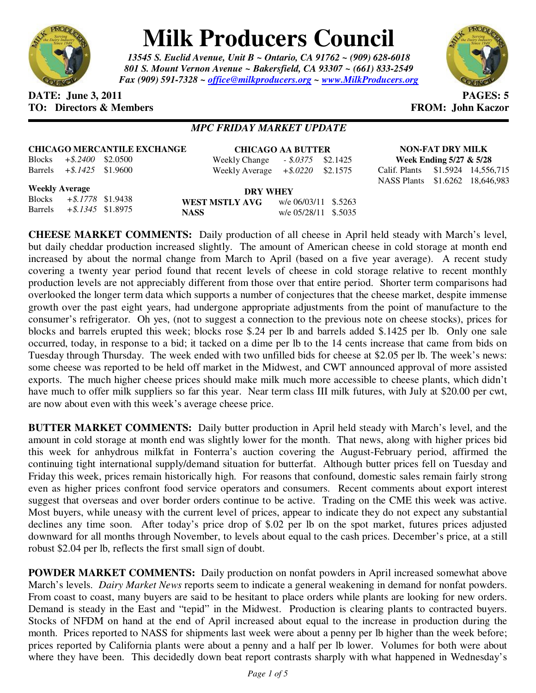

# **Milk Producers Council**

*13545 S. Euclid Avenue, Unit B ~ Ontario, CA 91762 ~ (909) 628-6018 801 S. Mount Vernon Avenue ~ Bakersfield, CA 93307 ~ (661) 833-2549 Fax (909) 591-7328 ~ office@milkproducers.org ~ www.MilkProducers.org*



# **DATE:** June 3, 2011 **PAGES:** 5 **TO: Directors & Members TO: Piccore All Members FROM: John Kaczor**

# *MPC FRIDAY MARKET UPDATE*

|  |  | <b>CHICAGO MERCANTILE EXCHANGE</b> |
|--|--|------------------------------------|
|  |  |                                    |

Blocks *+\$.2400* \$2.0500 Barrels *+\$.1425* \$1.9600

**CHICAGO AA BUTTER** Weekly Change *- \$.0375* \$2.1425 Weekly Average *+\$.0220* \$2.1575

**NON-FAT DRY MILK Week Ending 5/27 & 5/28**  Calif. Plants \$1.5924 14,556,715 NASS Plants \$1.6262 18,646,983

**Weekly Average**

Blocks *+\$.1778* \$1.9438 Barrels *+\$.1345* \$1.8975

**DRY WHEY WEST MSTLY AVG** w/e 06/03/11 \$.5263 **NASS** w/e 05/28/11 \$.5035

**CHEESE MARKET COMMENTS:** Daily production of all cheese in April held steady with March's level, but daily cheddar production increased slightly. The amount of American cheese in cold storage at month end increased by about the normal change from March to April (based on a five year average). A recent study covering a twenty year period found that recent levels of cheese in cold storage relative to recent monthly production levels are not appreciably different from those over that entire period. Shorter term comparisons had overlooked the longer term data which supports a number of conjectures that the cheese market, despite immense growth over the past eight years, had undergone appropriate adjustments from the point of manufacture to the consumer's refrigerator. Oh yes, (not to suggest a connection to the previous note on cheese stocks), prices for blocks and barrels erupted this week; blocks rose \$.24 per lb and barrels added \$.1425 per lb. Only one sale occurred, today, in response to a bid; it tacked on a dime per lb to the 14 cents increase that came from bids on Tuesday through Thursday. The week ended with two unfilled bids for cheese at \$2.05 per lb. The week's news: some cheese was reported to be held off market in the Midwest, and CWT announced approval of more assisted exports. The much higher cheese prices should make milk much more accessible to cheese plants, which didn't have much to offer milk suppliers so far this year. Near term class III milk futures, with July at \$20.00 per cwt, are now about even with this week's average cheese price.

**BUTTER MARKET COMMENTS:** Daily butter production in April held steady with March's level, and the amount in cold storage at month end was slightly lower for the month. That news, along with higher prices bid this week for anhydrous milkfat in Fonterra's auction covering the August-February period, affirmed the continuing tight international supply/demand situation for butterfat. Although butter prices fell on Tuesday and Friday this week, prices remain historically high. For reasons that confound, domestic sales remain fairly strong even as higher prices confront food service operators and consumers. Recent comments about export interest suggest that overseas and over border orders continue to be active. Trading on the CME this week was active. Most buyers, while uneasy with the current level of prices, appear to indicate they do not expect any substantial declines any time soon. After today's price drop of \$.02 per lb on the spot market, futures prices adjusted downward for all months through November, to levels about equal to the cash prices. December's price, at a still robust \$2.04 per lb, reflects the first small sign of doubt.

**POWDER MARKET COMMENTS:** Daily production on nonfat powders in April increased somewhat above March's levels. *Dairy Market News* reports seem to indicate a general weakening in demand for nonfat powders. From coast to coast, many buyers are said to be hesitant to place orders while plants are looking for new orders. Demand is steady in the East and "tepid" in the Midwest. Production is clearing plants to contracted buyers. Stocks of NFDM on hand at the end of April increased about equal to the increase in production during the month. Prices reported to NASS for shipments last week were about a penny per lb higher than the week before; prices reported by California plants were about a penny and a half per lb lower. Volumes for both were about where they have been. This decidedly down beat report contrasts sharply with what happened in Wednesday's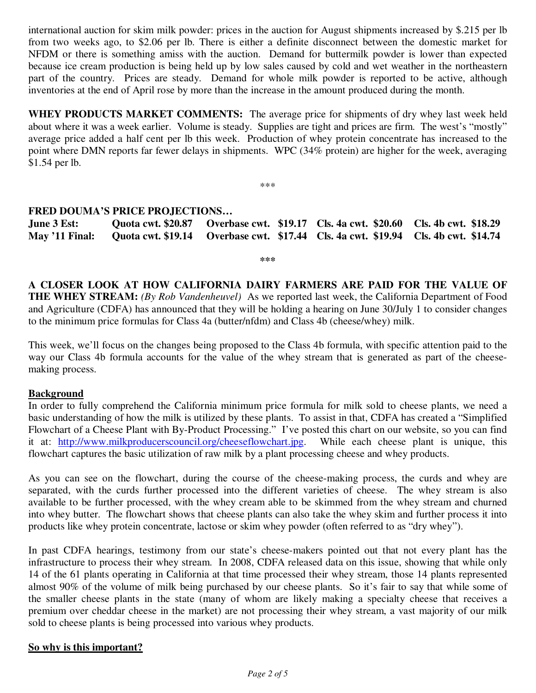international auction for skim milk powder: prices in the auction for August shipments increased by \$.215 per lb from two weeks ago, to \$2.06 per lb. There is either a definite disconnect between the domestic market for NFDM or there is something amiss with the auction. Demand for buttermilk powder is lower than expected because ice cream production is being held up by low sales caused by cold and wet weather in the northeastern part of the country. Prices are steady. Demand for whole milk powder is reported to be active, although inventories at the end of April rose by more than the increase in the amount produced during the month.

**WHEY PRODUCTS MARKET COMMENTS:** The average price for shipments of dry whey last week held about where it was a week earlier. Volume is steady. Supplies are tight and prices are firm. The west's "mostly" average price added a half cent per lb this week. Production of whey protein concentrate has increased to the point where DMN reports far fewer delays in shipments. WPC (34% protein) are higher for the week, averaging \$1.54 per lb.

\*\*\*

### **FRED DOUMA'S PRICE PROJECTIONS…**

**June 3 Est: Quota cwt. \$20.87 Overbase cwt. \$19.17 Cls. 4a cwt. \$20.60 Cls. 4b cwt. \$18.29 May '11 Final: Quota cwt. \$19.14 Overbase cwt. \$17.44 Cls. 4a cwt. \$19.94 Cls. 4b cwt. \$14.74** 

**\*\*\*** 

**A CLOSER LOOK AT HOW CALIFORNIA DAIRY FARMERS ARE PAID FOR THE VALUE OF THE WHEY STREAM:** *(By Rob Vandenheuvel)* As we reported last week, the California Department of Food and Agriculture (CDFA) has announced that they will be holding a hearing on June 30/July 1 to consider changes to the minimum price formulas for Class 4a (butter/nfdm) and Class 4b (cheese/whey) milk.

This week, we'll focus on the changes being proposed to the Class 4b formula, with specific attention paid to the way our Class 4b formula accounts for the value of the whey stream that is generated as part of the cheesemaking process.

#### **Background**

In order to fully comprehend the California minimum price formula for milk sold to cheese plants, we need a basic understanding of how the milk is utilized by these plants. To assist in that, CDFA has created a "Simplified Flowchart of a Cheese Plant with By-Product Processing." I've posted this chart on our website, so you can find it at: http://www.milkproducerscouncil.org/cheeseflowchart.jpg. While each cheese plant is unique, this flowchart captures the basic utilization of raw milk by a plant processing cheese and whey products.

As you can see on the flowchart, during the course of the cheese-making process, the curds and whey are separated, with the curds further processed into the different varieties of cheese. The whey stream is also available to be further processed, with the whey cream able to be skimmed from the whey stream and churned into whey butter. The flowchart shows that cheese plants can also take the whey skim and further process it into products like whey protein concentrate, lactose or skim whey powder (often referred to as "dry whey").

In past CDFA hearings, testimony from our state's cheese-makers pointed out that not every plant has the infrastructure to process their whey stream. In 2008, CDFA released data on this issue, showing that while only 14 of the 61 plants operating in California at that time processed their whey stream, those 14 plants represented almost 90% of the volume of milk being purchased by our cheese plants. So it's fair to say that while some of the smaller cheese plants in the state (many of whom are likely making a specialty cheese that receives a premium over cheddar cheese in the market) are not processing their whey stream, a vast majority of our milk sold to cheese plants is being processed into various whey products.

#### **So why is this important?**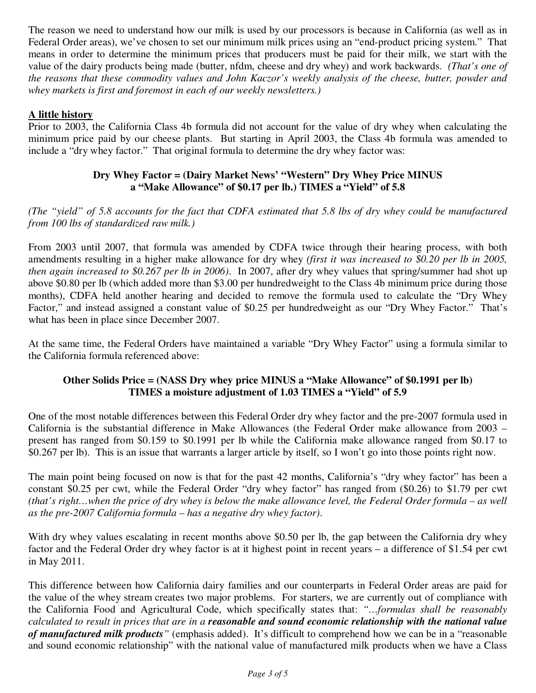The reason we need to understand how our milk is used by our processors is because in California (as well as in Federal Order areas), we've chosen to set our minimum milk prices using an "end-product pricing system." That means in order to determine the minimum prices that producers must be paid for their milk, we start with the value of the dairy products being made (butter, nfdm, cheese and dry whey) and work backwards. *(That's one of the reasons that these commodity values and John Kaczor's weekly analysis of the cheese, butter, powder and whey markets is first and foremost in each of our weekly newsletters.)*

# **A little history**

Prior to 2003, the California Class 4b formula did not account for the value of dry whey when calculating the minimum price paid by our cheese plants. But starting in April 2003, the Class 4b formula was amended to include a "dry whey factor." That original formula to determine the dry whey factor was:

# **Dry Whey Factor = (Dairy Market News' "Western" Dry Whey Price MINUS a "Make Allowance" of \$0.17 per lb.) TIMES a "Yield" of 5.8**

*(The "yield" of 5.8 accounts for the fact that CDFA estimated that 5.8 lbs of dry whey could be manufactured from 100 lbs of standardized raw milk.)* 

From 2003 until 2007, that formula was amended by CDFA twice through their hearing process, with both amendments resulting in a higher make allowance for dry whey *(first it was increased to \$0.20 per lb in 2005, then again increased to \$0.267 per lb in 2006)*. In 2007, after dry whey values that spring/summer had shot up above \$0.80 per lb (which added more than \$3.00 per hundredweight to the Class 4b minimum price during those months), CDFA held another hearing and decided to remove the formula used to calculate the "Dry Whey Factor," and instead assigned a constant value of \$0.25 per hundredweight as our "Dry Whey Factor." That's what has been in place since December 2007.

At the same time, the Federal Orders have maintained a variable "Dry Whey Factor" using a formula similar to the California formula referenced above:

# **Other Solids Price = (NASS Dry whey price MINUS a "Make Allowance" of \$0.1991 per lb) TIMES a moisture adjustment of 1.03 TIMES a "Yield" of 5.9**

One of the most notable differences between this Federal Order dry whey factor and the pre-2007 formula used in California is the substantial difference in Make Allowances (the Federal Order make allowance from 2003 – present has ranged from \$0.159 to \$0.1991 per lb while the California make allowance ranged from \$0.17 to \$0.267 per lb). This is an issue that warrants a larger article by itself, so I won't go into those points right now.

The main point being focused on now is that for the past 42 months, California's "dry whey factor" has been a constant \$0.25 per cwt, while the Federal Order "dry whey factor" has ranged from (\$0.26) to \$1.79 per cwt *(that's right…when the price of dry whey is below the make allowance level, the Federal Order formula – as well as the pre-2007 California formula – has a negative dry whey factor)*.

With dry whey values escalating in recent months above \$0.50 per lb, the gap between the California dry whey factor and the Federal Order dry whey factor is at it highest point in recent years – a difference of \$1.54 per cwt in May 2011.

This difference between how California dairy families and our counterparts in Federal Order areas are paid for the value of the whey stream creates two major problems. For starters, we are currently out of compliance with the California Food and Agricultural Code, which specifically states that: *"…formulas shall be reasonably calculated to result in prices that are in a reasonable and sound economic relationship with the national value of manufactured milk products"* (emphasis added). It's difficult to comprehend how we can be in a "reasonable and sound economic relationship" with the national value of manufactured milk products when we have a Class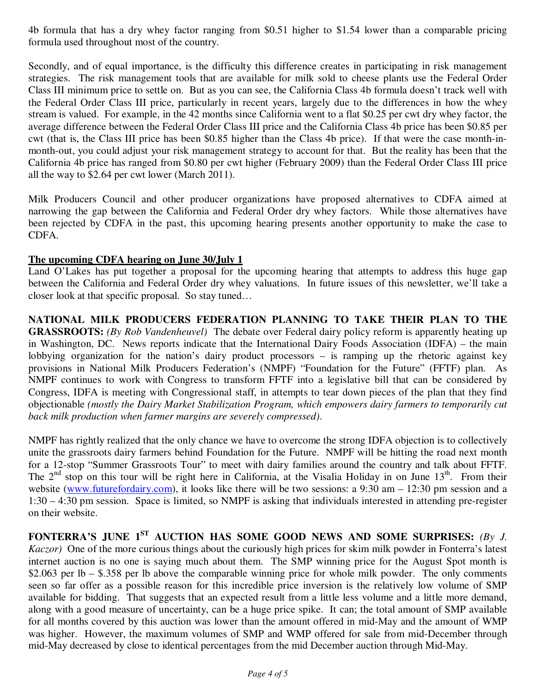4b formula that has a dry whey factor ranging from \$0.51 higher to \$1.54 lower than a comparable pricing formula used throughout most of the country.

Secondly, and of equal importance, is the difficulty this difference creates in participating in risk management strategies. The risk management tools that are available for milk sold to cheese plants use the Federal Order Class III minimum price to settle on. But as you can see, the California Class 4b formula doesn't track well with the Federal Order Class III price, particularly in recent years, largely due to the differences in how the whey stream is valued. For example, in the 42 months since California went to a flat \$0.25 per cwt dry whey factor, the average difference between the Federal Order Class III price and the California Class 4b price has been \$0.85 per cwt (that is, the Class III price has been \$0.85 higher than the Class 4b price). If that were the case month-inmonth-out, you could adjust your risk management strategy to account for that. But the reality has been that the California 4b price has ranged from \$0.80 per cwt higher (February 2009) than the Federal Order Class III price all the way to \$2.64 per cwt lower (March 2011).

Milk Producers Council and other producer organizations have proposed alternatives to CDFA aimed at narrowing the gap between the California and Federal Order dry whey factors. While those alternatives have been rejected by CDFA in the past, this upcoming hearing presents another opportunity to make the case to CDFA.

# **The upcoming CDFA hearing on June 30/July 1**

Land O'Lakes has put together a proposal for the upcoming hearing that attempts to address this huge gap between the California and Federal Order dry whey valuations. In future issues of this newsletter, we'll take a closer look at that specific proposal. So stay tuned…

**NATIONAL MILK PRODUCERS FEDERATION PLANNING TO TAKE THEIR PLAN TO THE GRASSROOTS:** *(By Rob Vandenheuvel)* The debate over Federal dairy policy reform is apparently heating up in Washington, DC. News reports indicate that the International Dairy Foods Association (IDFA) – the main lobbying organization for the nation's dairy product processors – is ramping up the rhetoric against key provisions in National Milk Producers Federation's (NMPF) "Foundation for the Future" (FFTF) plan. As NMPF continues to work with Congress to transform FFTF into a legislative bill that can be considered by Congress, IDFA is meeting with Congressional staff, in attempts to tear down pieces of the plan that they find objectionable *(mostly the Dairy Market Stabilization Program, which empowers dairy farmers to temporarily cut back milk production when farmer margins are severely compressed)*.

NMPF has rightly realized that the only chance we have to overcome the strong IDFA objection is to collectively unite the grassroots dairy farmers behind Foundation for the Future. NMPF will be hitting the road next month for a 12-stop "Summer Grassroots Tour" to meet with dairy families around the country and talk about FFTF. The  $2<sup>nd</sup>$  stop on this tour will be right here in California, at the Visalia Holiday in on June 13<sup>th</sup>. From their website (www.futurefordairy.com), it looks like there will be two sessions: a 9:30 am – 12:30 pm session and a 1:30 – 4:30 pm session. Space is limited, so NMPF is asking that individuals interested in attending pre-register on their website.

FONTERRA'S JUNE 1<sup>ST</sup> AUCTION HAS SOME GOOD NEWS AND SOME SURPRISES: *(By J. Kaczor)* One of the more curious things about the curiously high prices for skim milk powder in Fonterra's latest internet auction is no one is saying much about them. The SMP winning price for the August Spot month is \$2.063 per lb – \$.358 per lb above the comparable winning price for whole milk powder. The only comments seen so far offer as a possible reason for this incredible price inversion is the relatively low volume of SMP available for bidding. That suggests that an expected result from a little less volume and a little more demand, along with a good measure of uncertainty, can be a huge price spike. It can; the total amount of SMP available for all months covered by this auction was lower than the amount offered in mid-May and the amount of WMP was higher. However, the maximum volumes of SMP and WMP offered for sale from mid-December through mid-May decreased by close to identical percentages from the mid December auction through Mid-May.